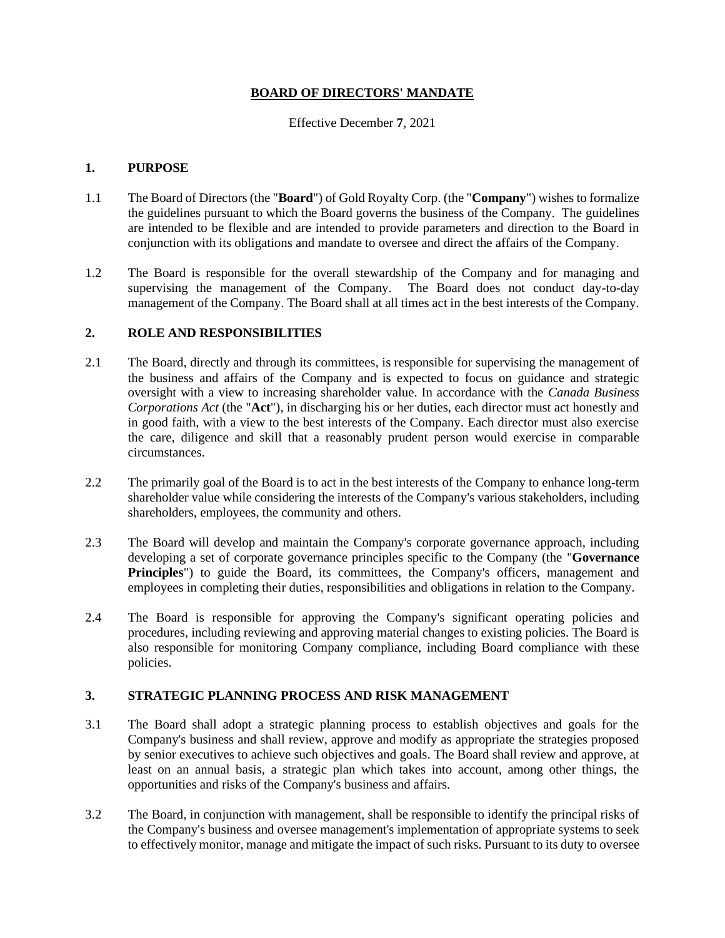## **BOARD OF DIRECTORS' MANDATE**

## Effective December **7**, 2021

## **1. PURPOSE**

- 1.1 The Board of Directors (the "**Board**") of Gold Royalty Corp. (the "**Company**") wishes to formalize the guidelines pursuant to which the Board governs the business of the Company. The guidelines are intended to be flexible and are intended to provide parameters and direction to the Board in conjunction with its obligations and mandate to oversee and direct the affairs of the Company.
- 1.2 The Board is responsible for the overall stewardship of the Company and for managing and supervising the management of the Company. The Board does not conduct day-to-day management of the Company. The Board shall at all times act in the best interests of the Company.

# **2. ROLE AND RESPONSIBILITIES**

- 2.1 The Board, directly and through its committees, is responsible for supervising the management of the business and affairs of the Company and is expected to focus on guidance and strategic oversight with a view to increasing shareholder value. In accordance with the *Canada Business Corporations Act* (the "**Act**"), in discharging his or her duties, each director must act honestly and in good faith, with a view to the best interests of the Company. Each director must also exercise the care, diligence and skill that a reasonably prudent person would exercise in comparable circumstances.
- 2.2 The primarily goal of the Board is to act in the best interests of the Company to enhance long-term shareholder value while considering the interests of the Company's various stakeholders, including shareholders, employees, the community and others.
- 2.3 The Board will develop and maintain the Company's corporate governance approach, including developing a set of corporate governance principles specific to the Company (the "**Governance**  Principles") to guide the Board, its committees, the Company's officers, management and employees in completing their duties, responsibilities and obligations in relation to the Company.
- 2.4 The Board is responsible for approving the Company's significant operating policies and procedures, including reviewing and approving material changes to existing policies. The Board is also responsible for monitoring Company compliance, including Board compliance with these policies.

# **3. STRATEGIC PLANNING PROCESS AND RISK MANAGEMENT**

- 3.1 The Board shall adopt a strategic planning process to establish objectives and goals for the Company's business and shall review, approve and modify as appropriate the strategies proposed by senior executives to achieve such objectives and goals. The Board shall review and approve, at least on an annual basis, a strategic plan which takes into account, among other things, the opportunities and risks of the Company's business and affairs.
- 3.2 The Board, in conjunction with management, shall be responsible to identify the principal risks of the Company's business and oversee management's implementation of appropriate systems to seek to effectively monitor, manage and mitigate the impact of such risks. Pursuant to its duty to oversee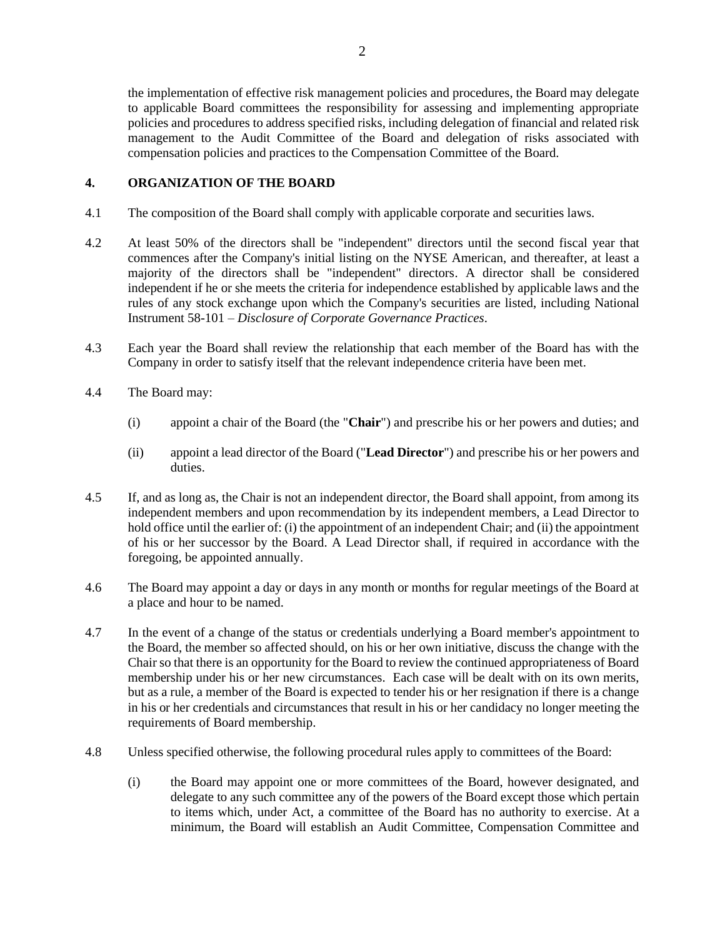the implementation of effective risk management policies and procedures, the Board may delegate to applicable Board committees the responsibility for assessing and implementing appropriate policies and procedures to address specified risks, including delegation of financial and related risk management to the Audit Committee of the Board and delegation of risks associated with compensation policies and practices to the Compensation Committee of the Board.

# **4. ORGANIZATION OF THE BOARD**

- 4.1 The composition of the Board shall comply with applicable corporate and securities laws.
- 4.2 At least 50% of the directors shall be "independent" directors until the second fiscal year that commences after the Company's initial listing on the NYSE American, and thereafter, at least a majority of the directors shall be "independent" directors. A director shall be considered independent if he or she meets the criteria for independence established by applicable laws and the rules of any stock exchange upon which the Company's securities are listed, including National Instrument 58-101 – *Disclosure of Corporate Governance Practices*.
- 4.3 Each year the Board shall review the relationship that each member of the Board has with the Company in order to satisfy itself that the relevant independence criteria have been met.
- 4.4 The Board may:
	- (i) appoint a chair of the Board (the "**Chair**") and prescribe his or her powers and duties; and
	- (ii) appoint a lead director of the Board ("**Lead Director**") and prescribe his or her powers and duties.
- 4.5 If, and as long as, the Chair is not an independent director, the Board shall appoint, from among its independent members and upon recommendation by its independent members, a Lead Director to hold office until the earlier of: (i) the appointment of an independent Chair; and (ii) the appointment of his or her successor by the Board. A Lead Director shall, if required in accordance with the foregoing, be appointed annually.
- 4.6 The Board may appoint a day or days in any month or months for regular meetings of the Board at a place and hour to be named.
- 4.7 In the event of a change of the status or credentials underlying a Board member's appointment to the Board, the member so affected should, on his or her own initiative, discuss the change with the Chair so that there is an opportunity for the Board to review the continued appropriateness of Board membership under his or her new circumstances. Each case will be dealt with on its own merits, but as a rule, a member of the Board is expected to tender his or her resignation if there is a change in his or her credentials and circumstances that result in his or her candidacy no longer meeting the requirements of Board membership.
- 4.8 Unless specified otherwise, the following procedural rules apply to committees of the Board:
	- (i) the Board may appoint one or more committees of the Board, however designated, and delegate to any such committee any of the powers of the Board except those which pertain to items which, under Act, a committee of the Board has no authority to exercise. At a minimum, the Board will establish an Audit Committee, Compensation Committee and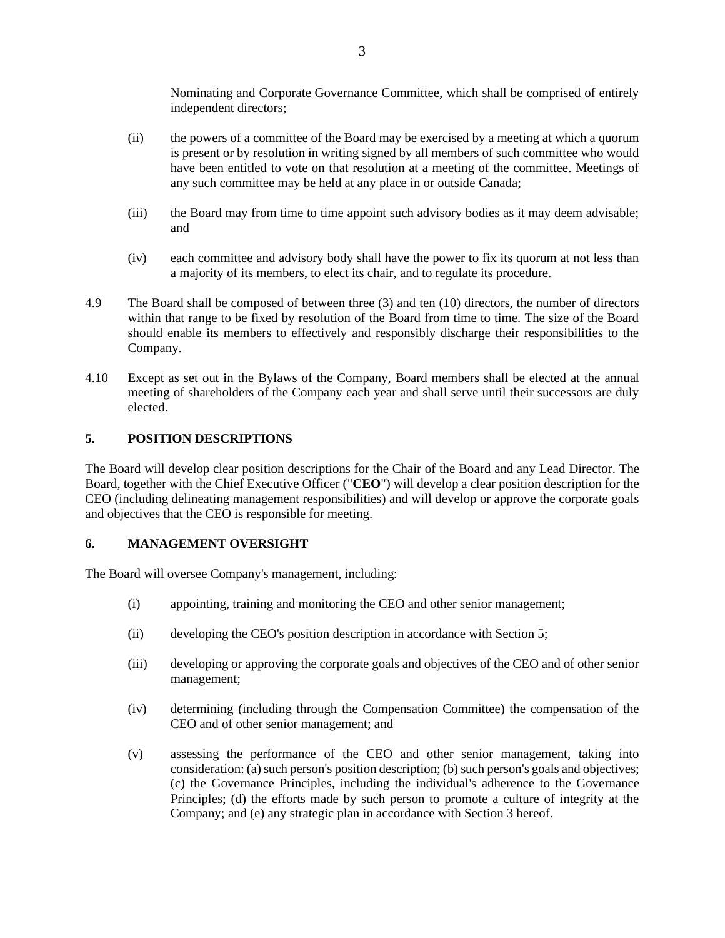Nominating and Corporate Governance Committee, which shall be comprised of entirely independent directors;

- (ii) the powers of a committee of the Board may be exercised by a meeting at which a quorum is present or by resolution in writing signed by all members of such committee who would have been entitled to vote on that resolution at a meeting of the committee. Meetings of any such committee may be held at any place in or outside Canada;
- (iii) the Board may from time to time appoint such advisory bodies as it may deem advisable; and
- (iv) each committee and advisory body shall have the power to fix its quorum at not less than a majority of its members, to elect its chair, and to regulate its procedure.
- 4.9 The Board shall be composed of between three (3) and ten (10) directors, the number of directors within that range to be fixed by resolution of the Board from time to time. The size of the Board should enable its members to effectively and responsibly discharge their responsibilities to the Company.
- 4.10 Except as set out in the Bylaws of the Company, Board members shall be elected at the annual meeting of shareholders of the Company each year and shall serve until their successors are duly elected.

# **5. POSITION DESCRIPTIONS**

The Board will develop clear position descriptions for the Chair of the Board and any Lead Director. The Board, together with the Chief Executive Officer ("**CEO**") will develop a clear position description for the CEO (including delineating management responsibilities) and will develop or approve the corporate goals and objectives that the CEO is responsible for meeting.

## **6. MANAGEMENT OVERSIGHT**

The Board will oversee Company's management, including:

- (i) appointing, training and monitoring the CEO and other senior management;
- (ii) developing the CEO's position description in accordance with Section 5;
- (iii) developing or approving the corporate goals and objectives of the CEO and of other senior management;
- (iv) determining (including through the Compensation Committee) the compensation of the CEO and of other senior management; and
- (v) assessing the performance of the CEO and other senior management, taking into consideration: (a) such person's position description; (b) such person's goals and objectives; (c) the Governance Principles, including the individual's adherence to the Governance Principles; (d) the efforts made by such person to promote a culture of integrity at the Company; and (e) any strategic plan in accordance with Section 3 hereof.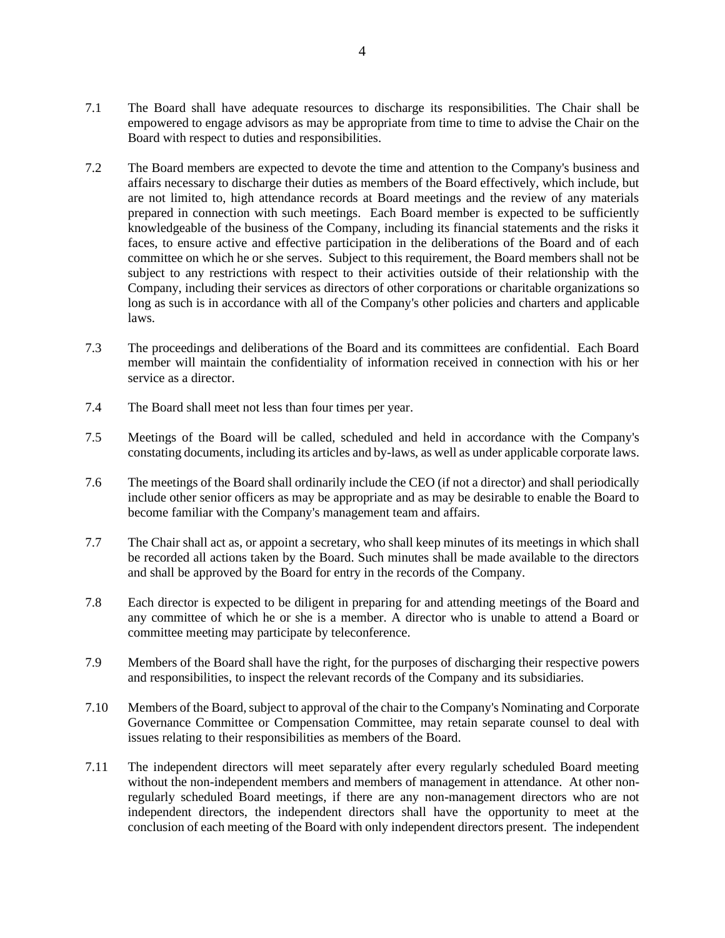- 7.1 The Board shall have adequate resources to discharge its responsibilities. The Chair shall be empowered to engage advisors as may be appropriate from time to time to advise the Chair on the Board with respect to duties and responsibilities.
- 7.2 The Board members are expected to devote the time and attention to the Company's business and affairs necessary to discharge their duties as members of the Board effectively, which include, but are not limited to, high attendance records at Board meetings and the review of any materials prepared in connection with such meetings. Each Board member is expected to be sufficiently knowledgeable of the business of the Company, including its financial statements and the risks it faces, to ensure active and effective participation in the deliberations of the Board and of each committee on which he or she serves. Subject to this requirement, the Board members shall not be subject to any restrictions with respect to their activities outside of their relationship with the Company, including their services as directors of other corporations or charitable organizations so long as such is in accordance with all of the Company's other policies and charters and applicable laws.
- 7.3 The proceedings and deliberations of the Board and its committees are confidential. Each Board member will maintain the confidentiality of information received in connection with his or her service as a director.
- 7.4 The Board shall meet not less than four times per year.
- 7.5 Meetings of the Board will be called, scheduled and held in accordance with the Company's constating documents, including its articles and by-laws, as well as under applicable corporate laws.
- 7.6 The meetings of the Board shall ordinarily include the CEO (if not a director) and shall periodically include other senior officers as may be appropriate and as may be desirable to enable the Board to become familiar with the Company's management team and affairs.
- 7.7 The Chair shall act as, or appoint a secretary, who shall keep minutes of its meetings in which shall be recorded all actions taken by the Board. Such minutes shall be made available to the directors and shall be approved by the Board for entry in the records of the Company.
- 7.8 Each director is expected to be diligent in preparing for and attending meetings of the Board and any committee of which he or she is a member. A director who is unable to attend a Board or committee meeting may participate by teleconference.
- 7.9 Members of the Board shall have the right, for the purposes of discharging their respective powers and responsibilities, to inspect the relevant records of the Company and its subsidiaries.
- 7.10 Members of the Board, subject to approval of the chair to the Company's Nominating and Corporate Governance Committee or Compensation Committee, may retain separate counsel to deal with issues relating to their responsibilities as members of the Board.
- 7.11 The independent directors will meet separately after every regularly scheduled Board meeting without the non-independent members and members of management in attendance. At other nonregularly scheduled Board meetings, if there are any non-management directors who are not independent directors, the independent directors shall have the opportunity to meet at the conclusion of each meeting of the Board with only independent directors present. The independent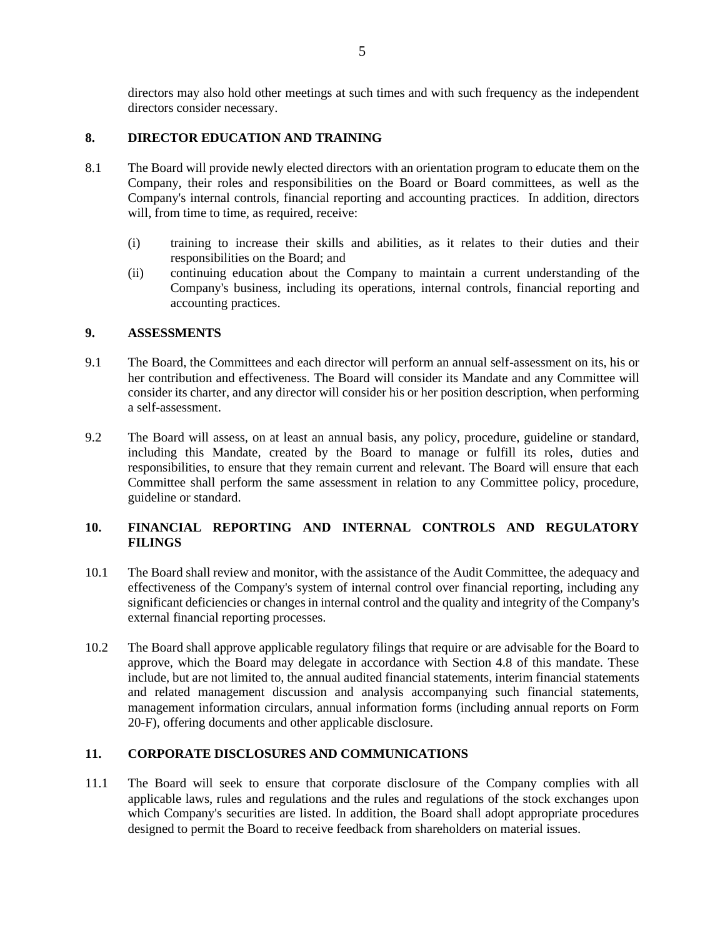directors may also hold other meetings at such times and with such frequency as the independent directors consider necessary.

## **8. DIRECTOR EDUCATION AND TRAINING**

- 8.1 The Board will provide newly elected directors with an orientation program to educate them on the Company, their roles and responsibilities on the Board or Board committees, as well as the Company's internal controls, financial reporting and accounting practices. In addition, directors will, from time to time, as required, receive:
	- (i) training to increase their skills and abilities, as it relates to their duties and their responsibilities on the Board; and
	- (ii) continuing education about the Company to maintain a current understanding of the Company's business, including its operations, internal controls, financial reporting and accounting practices.

## **9. ASSESSMENTS**

- 9.1 The Board, the Committees and each director will perform an annual self-assessment on its, his or her contribution and effectiveness. The Board will consider its Mandate and any Committee will consider its charter, and any director will consider his or her position description, when performing a self-assessment.
- 9.2 The Board will assess, on at least an annual basis, any policy, procedure, guideline or standard, including this Mandate, created by the Board to manage or fulfill its roles, duties and responsibilities, to ensure that they remain current and relevant. The Board will ensure that each Committee shall perform the same assessment in relation to any Committee policy, procedure, guideline or standard.

# **10. FINANCIAL REPORTING AND INTERNAL CONTROLS AND REGULATORY FILINGS**

- 10.1 The Board shall review and monitor, with the assistance of the Audit Committee, the adequacy and effectiveness of the Company's system of internal control over financial reporting, including any significant deficiencies or changes in internal control and the quality and integrity of the Company's external financial reporting processes.
- 10.2 The Board shall approve applicable regulatory filings that require or are advisable for the Board to approve, which the Board may delegate in accordance with Section 4.8 of this mandate. These include, but are not limited to, the annual audited financial statements, interim financial statements and related management discussion and analysis accompanying such financial statements, management information circulars, annual information forms (including annual reports on Form 20-F), offering documents and other applicable disclosure.

## **11. CORPORATE DISCLOSURES AND COMMUNICATIONS**

11.1 The Board will seek to ensure that corporate disclosure of the Company complies with all applicable laws, rules and regulations and the rules and regulations of the stock exchanges upon which Company's securities are listed. In addition, the Board shall adopt appropriate procedures designed to permit the Board to receive feedback from shareholders on material issues.